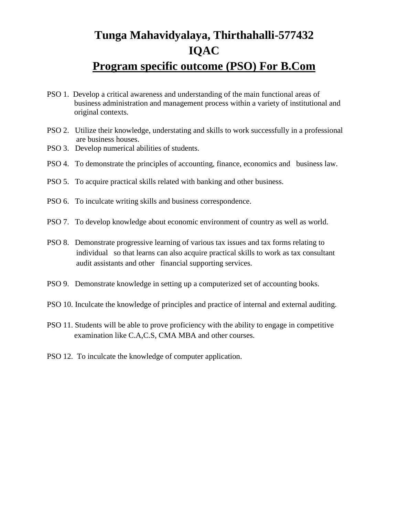# **Tunga Mahavidyalaya, Thirthahalli-577432 IQAC Program specific outcome (PSO) For B.Com**

- PSO 1. Develop a critical awareness and understanding of the main functional areas of business administration and management process within a variety of institutional and original contexts.
- PSO 2. Utilize their knowledge, understating and skills to work successfully in a professional are business houses.
- PSO 3. Develop numerical abilities of students.
- PSO 4. To demonstrate the principles of accounting, finance, economics and business law.
- PSO 5. To acquire practical skills related with banking and other business.
- PSO 6. To inculcate writing skills and business correspondence.
- PSO 7. To develop knowledge about economic environment of country as well as world.
- PSO 8. Demonstrate progressive learning of various tax issues and tax forms relating to individual so that learns can also acquire practical skills to work as tax consultant audit assistants and other financial supporting services.
- PSO 9. Demonstrate knowledge in setting up a computerized set of accounting books.
- PSO 10. Inculcate the knowledge of principles and practice of internal and external auditing.
- PSO 11. Students will be able to prove proficiency with the ability to engage in competitive examination like C.A,C.S, CMA MBA and other courses.
- PSO 12. To inculcate the knowledge of computer application.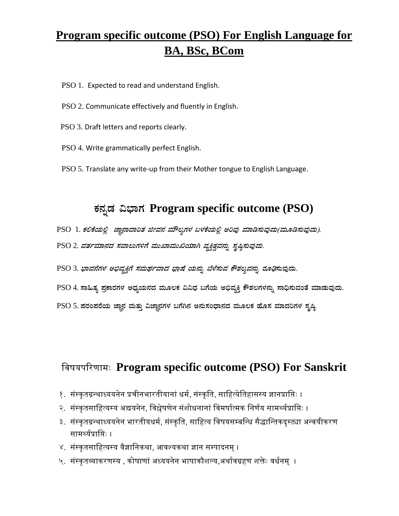# **Program specific outcome (PSO) For English Language for BA, BSc, BCom**

- PSO 1. Expected to read and understand English.
- PSO 2. Communicate effectively and fluently in English.
- PSO 3. Draft letters and reports clearly.
- PSO 4. Write grammatically perfect English.
- PSO 5. Translate any write-up from their Mother tongue to English Language.

## **PÀ£ÀßqÀ «¨sÁUÀ Program specific outcome (PSO)**

- PSO 1. ಕಲಿಕೆಯಲ್ಲಿ ಜ್ಞಾನಾದಾರಿತ ಜೀವನ ಮೌಲ್ಯಗಳ ಬಳಕೆಯಲ್ಲಿ ಅರಿವು ಮಾಡಿಸುವುದು(ಮೂಡಿಸುವುದು).
- PSO 2. ವರ್ತಮಾನದ ಸವಾಲುಗಳಿಗೆ ಮುಖಾಮುಖಿಯಾಗಿ ವ್ಯಕ್ತಿತ್ವವನ್ನು ಸೃಷ್ಠಿಸುವುದು.
- PSO 3. ಭಾ*ವನೆಗಳ ಅಭಿವ್ಯಕ್ತಿಗೆ ಸಮರ್ಥವಾದ ಭಾಷೆ ಯನ್ನು ಬೆಳೆಸುವ ಕೌಶಲ್ಯವನ್ನು ರೂಢಿ*ಸುವುದು.
- PSO 4. ಸಾಹಿತ್ಯ ಪ್ರಕಾರಗಳ ಅಧ್ಯಯನದ ಮೂಲಕ ವಿವಿಧ ಬಗೆಯ ಅಭಿವ್ಯಕ್ತಿ ಕೌಶಲಗಳನ್ನು ಸಾಧಿಸುವಂತೆ ಮಾಡುವುದು.
- PSO 5. ಪರಂಪರೆಯ ಜ್ಞಾನ ಮತ್ತು ವಿಜ್ಞಾನಗಳ ಬಗೆಗಿನ ಅನುಸಂಧಾನದ ಮೂಲಕ ಹೊಸ ಮಾದರಿಗಳ ಸೃಷ್ಟಿ

#### विषयपरिणामः **Program specific outcome (PSO) For Sanskrit**

- १. संस्कृतग्रन्थाध्ययनेन प्रचीनभारतीयानां धर्म, संस्कृति, साहित्येतिहासस्य ज्ञानप्राप्तिः ।
- २. संस्कृतसाहित्यस्य अद्ययनेन, विश्लेषणेन संशोधनानां विमर्षात्मक निर्णय सामर्थ्यप्राप्तिः ।
- ३. संस्कृतग्रन्थाध्ययनेन भारतीयधर्म, संस्कृति, साहित्य विषयसम्बन्धि सैद्धान्तिकदृस्ट्या अन्वयीकरण सामर्थ्यप्राप्तिः ।
- ४. संस्कृतसाहित्यस्य वैज्ञानिकथा, आवश्यकथा ज्ञान सम्पादनम् ।
- ५. संस्कृतव्याकरणस्य , कोषाणां अध्ययनेन भाषाकौशल्य,अर्थावग्रहण शक्तेः वर्धनम् ।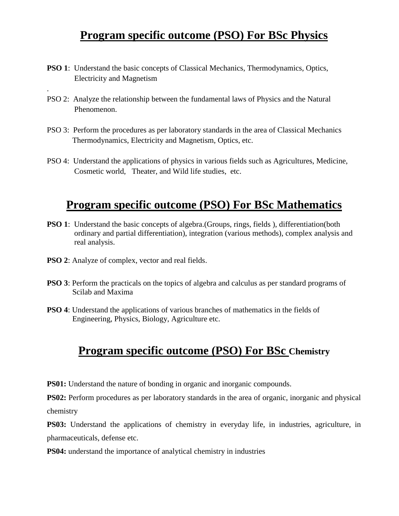### **Program specific outcome (PSO) For BSc Physics**

- **PSO 1**: Understand the basic concepts of Classical Mechanics, Thermodynamics, Optics, Electricity and Magnetism
- PSO 2: Analyze the relationship between the fundamental laws of Physics and the Natural Phenomenon.
- PSO 3: Perform the procedures as per laboratory standards in the area of Classical Mechanics Thermodynamics, Electricity and Magnetism, Optics, etc.
- PSO 4: Understand the applications of physics in various fields such as Agricultures, Medicine, Cosmetic world, Theater, and Wild life studies, etc.

# **Program specific outcome (PSO) For BSc Mathematics**

- **PSO 1**: Understand the basic concepts of algebra. (Groups, rings, fields), differentiation (both ordinary and partial differentiation), integration (various methods), complex analysis and real analysis.
- **PSO 2**: Analyze of complex, vector and real fields.

.

- **PSO 3**: Perform the practicals on the topics of algebra and calculus as per standard programs of Scilab and Maxima
- **PSO 4**: Understand the applications of various branches of mathematics in the fields of Engineering, Physics, Biology, Agriculture etc.

#### **Program specific outcome (PSO) For BSc Chemistry**

**PS01:** Understand the nature of bonding in organic and inorganic compounds.

**PS02:** Perform procedures as per laboratory standards in the area of organic, inorganic and physical chemistry

**PS03:** Understand the applications of chemistry in everyday life, in industries, agriculture, in pharmaceuticals, defense etc.

**PS04:** understand the importance of analytical chemistry in industries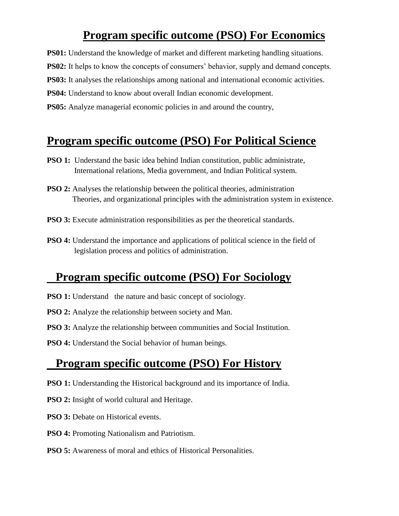## **Program specific outcome (PSO) For Economics**

**PS01:** Understand the knowledge of market and different marketing handling situations.

**PS02:** It helps to know the concepts of consumers' behavior, supply and demand concepts.

**PS03:** It analyses the relationships among national and international economic activities.

**PS04:** Understand to know about overall Indian economic development.

**PS05:** Analyze managerial economic policies in and around the country,

#### **Program specific outcome (PSO) For Political Science**

- **PSO 1:** Understand the basic idea behind Indian constitution, public administrate, International relations, Media government, and Indian Political system.
- **PSO 2:** Analyses the relationship between the political theories, administration Theories, and organizational principles with the administration system in existence.
- **PSO 3:** Execute administration responsibilities as per the theoretical standards.
- **PSO 4:** Understand the importance and applications of political science in the field of legislation process and politics of administration.

# **Program specific outcome (PSO) For Sociology**

- **PSO 1:** Understand the nature and basic concept of sociology.
- **PSO 2:** Analyze the relationship between society and Man.
- **PSO 3:** Analyze the relationship between communities and Social Institution.
- **PSO 4:** Understand the Social behavior of human beings.

# **Program specific outcome (PSO) For History**

- **PSO 1:** Understanding the Historical background and its importance of India.
- **PSO 2:** Insight of world cultural and Heritage.
- **PSO 3:** Debate on Historical events.
- **PSO 4:** Promoting Nationalism and Patriotism.
- **PSO 5:** Awareness of moral and ethics of Historical Personalities.